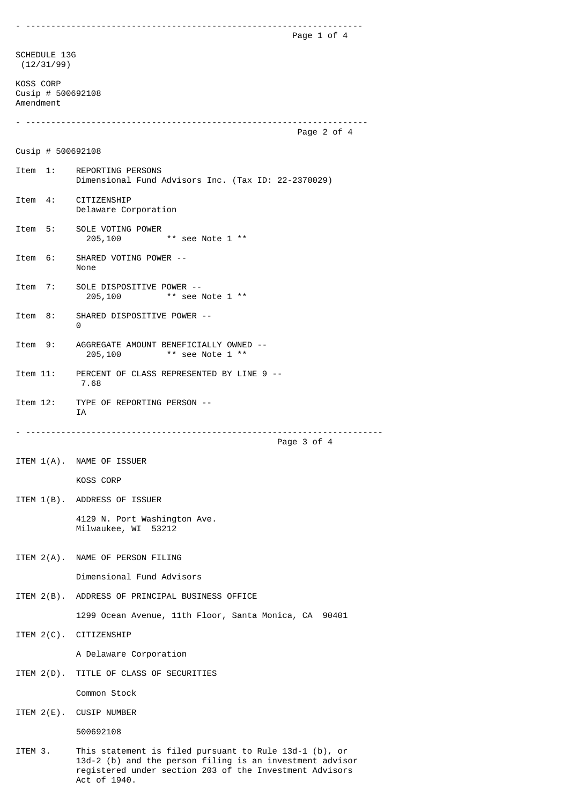- ------------------------------------------------------------------- Page 1 of 4 SCHEDULE 13G (12/31/99) KOSS CORP Cusip # 500692108 Amendment - -------------------------------------------------------------------- Page 2 of 4 Cusip # 500692108 Item 1: REPORTING PERSONS Dimensional Fund Advisors Inc. (Tax ID: 22-2370029) Item 4: CITIZENSHIP Delaware Corporation Item 5: SOLE VOTING POWER 205,100 \*\* see Note 1 \*\* Item 6: SHARED VOTING POWER -- None Item 7: SOLE DISPOSITIVE POWER -- 205,100 \*\* see Note 1 \*\* Item 8: SHARED DISPOSITIVE POWER -- 0 Item 9: AGGREGATE AMOUNT BENEFICIALLY OWNED -- 205,100 \*\* see Note 1 \*\* Item 11: PERCENT OF CLASS REPRESENTED BY LINE 9 -- 7.68 Item 12: TYPE OF REPORTING PERSON -- IA - ----------------------------------------------------------------------- Page 3 of 4 ITEM 1(A). NAME OF ISSUER KOSS CORP ITEM 1(B). ADDRESS OF ISSUER 4129 N. Port Washington Ave. Milwaukee, WI 53212 ITEM 2(A). NAME OF PERSON FILING Dimensional Fund Advisors ITEM 2(B). ADDRESS OF PRINCIPAL BUSINESS OFFICE 1299 Ocean Avenue, 11th Floor, Santa Monica, CA 90401 ITEM 2(C). CITIZENSHIP A Delaware Corporation ITEM 2(D). TITLE OF CLASS OF SECURITIES Common Stock ITEM 2(E). CUSIP NUMBER 500692108 ITEM 3. This statement is filed pursuant to Rule 13d-1 (b), or 13d-2 (b) and the person filing is an investment advisor registered under section 203 of the Investment Advisors

Act of 1940.